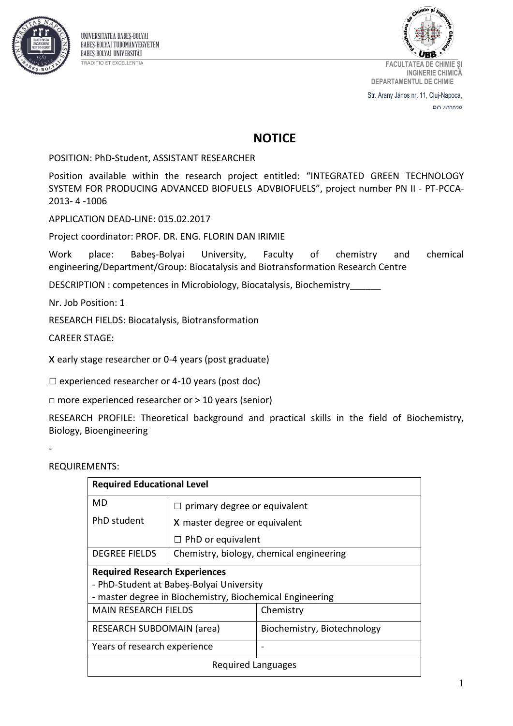



**FACULTATEA DE CHIMIE ȘI INGINERIE CHIMICĂ DEPARTAMENTUL DE CHIMIE**

Str. Arany János nr. 11, Cluj-Napoca, RCOON VO

## **NOTICE**

POSITION: PhD-Student, ASSISTANT RESEARCHER

Position available within the research project entitled: "[INTEGRATED GREEN TECHNOLOGY](http://chem.ubbcluj.ro/~irimie/index2.htm)  [SYSTEM FOR PRODUCING ADVANCED BIOFUELS ADVBIOFUELS](http://chem.ubbcluj.ro/~irimie/index2.htm)", project number PN II - PT-PCCA-2013- 4 -1006

APPLICATION DEAD-LINE: 015.02.2017

Project coordinator: PROF. DR. ENG. FLORIN DAN IRIMIE

Work place: Babeş-Bolyai University, Faculty of chemistry and chemical engineering/Department/Group: Biocatalysis and Biotransformation Research Centre

DESCRIPTION : competences in Microbiology, Biocatalysis, Biochemistry\_\_\_\_\_\_

Nr. Job Position: 1

RESEARCH FIELDS: Biocatalysis, Biotransformation

CAREER STAGE:

x early stage researcher or 0-4 years (post graduate)

 $\square$  experienced researcher or 4-10 years (post doc)

 $\Box$  more experienced researcher or  $> 10$  years (senior)

RESEARCH PROFILE: Theoretical background and practical skills in the field of Biochemistry, Biology, Bioengineering

-

REQUIREMENTS:

| <b>Required Educational Level</b>                        |                                          |  |
|----------------------------------------------------------|------------------------------------------|--|
|                                                          |                                          |  |
|                                                          |                                          |  |
| X master degree or equivalent                            |                                          |  |
| $\Box$ PhD or equivalent                                 |                                          |  |
|                                                          | Chemistry, biology, chemical engineering |  |
| <b>Required Research Experiences</b>                     |                                          |  |
| - PhD-Student at Babeș-Bolyai University                 |                                          |  |
| - master degree in Biochemistry, Biochemical Engineering |                                          |  |
| MAIN RESEARCH FIFLDS                                     | Chemistry                                |  |
| <b>RESEARCH SUBDOMAIN (area)</b>                         | Biochemistry, Biotechnology              |  |
| Years of research experience                             |                                          |  |
| Required Languages                                       |                                          |  |
|                                                          | $\Box$ primary degree or equivalent      |  |